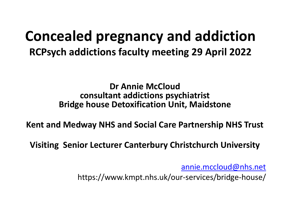### **Concealed pregnancy and addiction RCPsych addictions faculty meeting 29 April 2022**

**Dr Annie McCloud consultant addictions psychiatrist Bridge house Detoxification Unit, Maidstone**

**Kent and Medway NHS and Social Care Partnership NHS Trust**

**Visiting Senior Lecturer Canterbury Christchurch University**

[annie.mccloud@nhs.net](mailto:annie.mccloud@nhs.net)

https://www.kmpt.nhs.uk/our-services/bridge-house/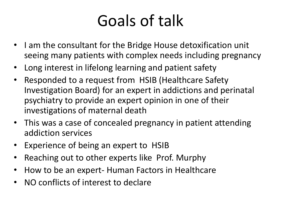# Goals of talk

- I am the consultant for the Bridge House detoxification unit seeing many patients with complex needs including pregnancy
- Long interest in lifelong learning and patient safety
- Responded to a request from HSIB (Healthcare Safety Investigation Board) for an expert in addictions and perinatal psychiatry to provide an expert opinion in one of their investigations of maternal death
- This was a case of concealed pregnancy in patient attending addiction services
- Experience of being an expert to HSIB
- Reaching out to other experts like Prof. Murphy
- How to be an expert- Human Factors in Healthcare
- NO conflicts of interest to declare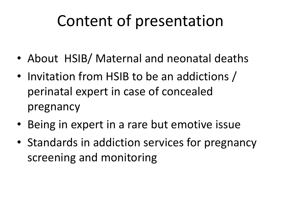# Content of presentation

- About HSIB/ Maternal and neonatal deaths
- Invitation from HSIB to be an addictions / perinatal expert in case of concealed pregnancy
- Being in expert in a rare but emotive issue
- Standards in addiction services for pregnancy screening and monitoring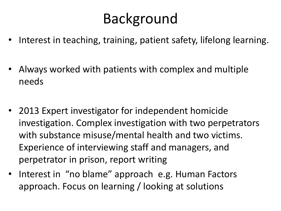## Background

- Interest in teaching, training, patient safety, lifelong learning.
- Always worked with patients with complex and multiple needs
- 2013 Expert investigator for independent homicide investigation. Complex investigation with two perpetrators with substance misuse/mental health and two victims. Experience of interviewing staff and managers, and perpetrator in prison, report writing
- Interest in "no blame" approach e.g. Human Factors approach. Focus on learning / looking at solutions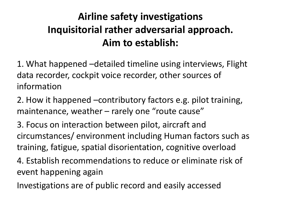#### **Airline safety investigations Inquisitorial rather adversarial approach. Aim to establish:**

1. What happened –detailed timeline using interviews, Flight data recorder, cockpit voice recorder, other sources of information

2. How it happened –contributory factors e.g. pilot training, maintenance, weather – rarely one "route cause"

3. Focus on interaction between pilot, aircraft and circumstances/ environment including Human factors such as training, fatigue, spatial disorientation, cognitive overload

4. Establish recommendations to reduce or eliminate risk of event happening again

Investigations are of public record and easily accessed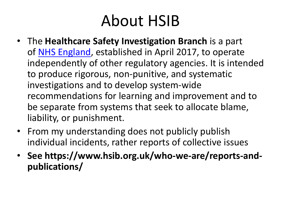# About HSIB

- The **Healthcare Safety Investigation Branch** is a part of [NHS England,](https://en.wikipedia.org/wiki/NHS_England) established in April 2017, to operate independently of other regulatory agencies. It is intended to produce rigorous, non-punitive, and systematic investigations and to develop system-wide recommendations for learning and improvement and to be separate from systems that seek to allocate blame, liability, or punishment.
- From my understanding does not publicly publish individual incidents, rather reports of collective issues
- **See https://www.hsib.org.uk/who-we-are/reports-andpublications/**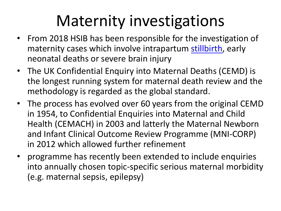# Maternity investigations

- From 2018 HSIB has been responsible for the investigation of maternity cases which involve intrapartum [stillbirth](https://en.wikipedia.org/wiki/Stillbirth), early neonatal deaths or severe brain injury
- The UK Confidential Enquiry into Maternal Deaths (CEMD) is the longest running system for maternal death review and the methodology is regarded as the global standard.
- The process has evolved over 60 years from the original CEMD in 1954, to Confidential Enquiries into Maternal and Child Health (CEMACH) in 2003 and latterly the Maternal Newborn and Infant Clinical Outcome Review Programme (MNI-CORP) in 2012 which allowed further refinement
- programme has recently been extended to include enquiries into annually chosen topic-specific serious maternal morbidity (e.g. maternal sepsis, epilepsy)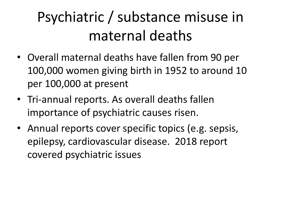# Psychiatric / substance misuse in maternal deaths

- Overall maternal deaths have fallen from 90 per 100,000 women giving birth in 1952 to around 10 per 100,000 at present
- Tri-annual reports. As overall deaths fallen importance of psychiatric causes risen.
- Annual reports cover specific topics (e.g. sepsis, epilepsy, cardiovascular disease. 2018 report covered psychiatric issues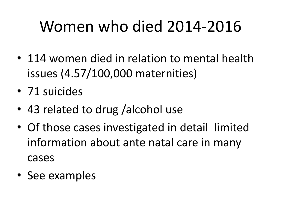# Women who died 2014-2016

- 114 women died in relation to mental health issues (4.57/100,000 maternities)
- 71 suicides
- 43 related to drug /alcohol use
- Of those cases investigated in detail limited information about ante natal care in many cases
- See examples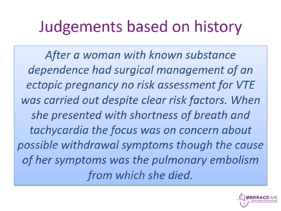# Judgements based on history

After a woman with known substance dependence had surgical management of an ectopic pregnancy no risk assessment for VTE was carried out despite clear risk factors. When she presented with shortness of breath and tachycardia the focus was on concern about possible withdrawal symptoms though the cause of her symptoms was the pulmonary embolism from which she died.

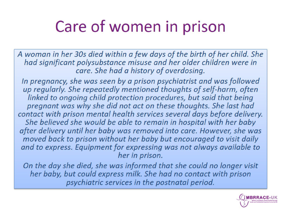# Care of women in prison

A woman in her 30s died within a few days of the birth of her child. She had significant polysubstance misuse and her older children were in care. She had a history of overdosing.

In pregnancy, she was seen by a prison psychiatrist and was followed up regularly. She repeatedly mentioned thoughts of self-harm, often linked to ongoing child protection procedures, but said that being pregnant was why she did not act on these thoughts. She last had contact with prison mental health services several days before delivery. She believed she would be able to remain in hospital with her baby after delivery until her baby was removed into care. However, she was moved back to prison without her baby but encouraged to visit daily and to express. Equipment for expressing was not always available to her in prison.

On the day she died, she was informed that she could no longer visit her baby, but could express milk. She had no contact with prison psychiatric services in the postnatal period.

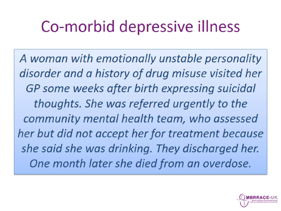# Co-morbid depressive illness

A woman with emotionally unstable personality disorder and a history of drug misuse visited her GP some weeks after birth expressing suicidal thoughts. She was referred urgently to the community mental health team, who assessed her but did not accept her for treatment because she said she was drinking. They discharged her. One month later she died from an overdose.

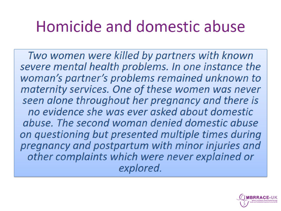# Homicide and domestic abuse

Two women were killed by partners with known severe mental health problems. In one instance the woman's partner's problems remained unknown to maternity services. One of these women was never seen alone throughout her pregnancy and there is no evidence she was ever asked about domestic abuse. The second woman denied domestic abuse on questioning but presented multiple times during pregnancy and postpartum with minor injuries and other complaints which were never explained or explored.

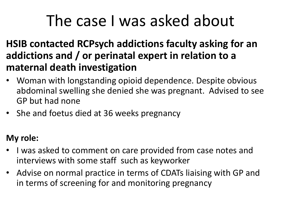# The case I was asked about

- **HSIB contacted RCPsych addictions faculty asking for an addictions and / or perinatal expert in relation to a maternal death investigation**
- Woman with longstanding opioid dependence. Despite obvious abdominal swelling she denied she was pregnant. Advised to see GP but had none
- She and foetus died at 36 weeks pregnancy

#### **My role:**

- I was asked to comment on care provided from case notes and interviews with some staff such as keyworker
- Advise on normal practice in terms of CDATs liaising with GP and in terms of screening for and monitoring pregnancy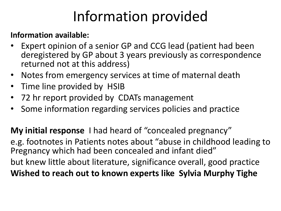## Information provided

#### **Information available:**

- Expert opinion of a senior GP and CCG lead (patient had been deregistered by GP about 3 years previously as correspondence returned not at this address)
- Notes from emergency services at time of maternal death
- Time line provided by HSIB
- 72 hr report provided by CDATs management
- Some information regarding services policies and practice

**My initial response** I had heard of "concealed pregnancy" e.g. footnotes in Patients notes about "abuse in childhood leading to Pregnancy which had been concealed and infant died" but knew little about literature, significance overall, good practice **Wished to reach out to known experts like Sylvia Murphy Tighe**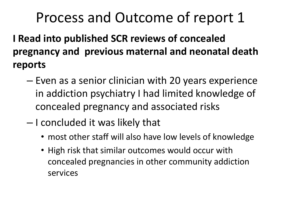## Process and Outcome of report 1

**I Read into published SCR reviews of concealed pregnancy and previous maternal and neonatal death reports**

- Even as a senior clinician with 20 years experience in addiction psychiatry I had limited knowledge of concealed pregnancy and associated risks
- I concluded it was likely that
	- most other staff will also have low levels of knowledge
	- High risk that similar outcomes would occur with concealed pregnancies in other community addiction services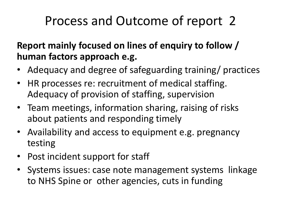## Process and Outcome of report 2

**Report mainly focused on lines of enquiry to follow / human factors approach e.g.** 

- Adequacy and degree of safeguarding training/ practices
- HR processes re: recruitment of medical staffing. Adequacy of provision of staffing, supervision
- Team meetings, information sharing, raising of risks about patients and responding timely
- Availability and access to equipment e.g. pregnancy testing
- Post incident support for staff
- Systems issues: case note management systems linkage to NHS Spine or other agencies, cuts in funding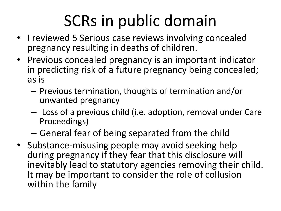# SCRs in public domain

- I reviewed 5 Serious case reviews involving concealed pregnancy resulting in deaths of children.
- Previous concealed pregnancy is an important indicator in predicting risk of a future pregnancy being concealed; as is
	- Previous termination, thoughts of termination and/or unwanted pregnancy
	- Loss of a previous child (i.e. adoption, removal under Care Proceedings)
	- General fear of being separated from the child
- Substance-misusing people may avoid seeking help during pregnancy if they fear that this disclosure will inevitably lead to statutory agencies removing their child. It may be important to consider the role of collusion within the family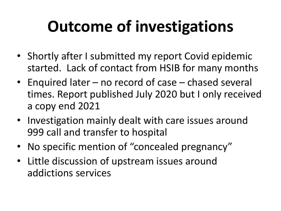# **Outcome of investigations**

- Shortly after I submitted my report Covid epidemic started. Lack of contact from HSIB for many months
- Enquired later no record of case chased several times. Report published July 2020 but I only received a copy end 2021
- Investigation mainly dealt with care issues around 999 call and transfer to hospital
- No specific mention of "concealed pregnancy"
- Little discussion of upstream issues around addictions services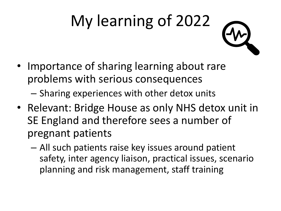# My learning of 2022

• Importance of sharing learning about rare problems with serious consequences

– Sharing experiences with other detox units

- Relevant: Bridge House as only NHS detox unit in SE England and therefore sees a number of pregnant patients
	- All such patients raise key issues around patient safety, inter agency liaison, practical issues, scenario planning and risk management, staff training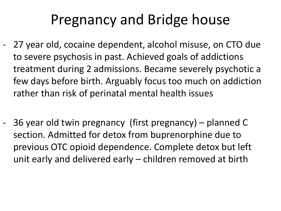## Pregnancy and Bridge house

- 27 year old, cocaine dependent, alcohol misuse, on CTO due to severe psychosis in past. Achieved goals of addictions treatment during 2 admissions. Became severely psychotic a few days before birth. Arguably focus too much on addiction rather than risk of perinatal mental health issues
- 36 year old twin pregnancy (first pregnancy) planned C section. Admitted for detox from buprenorphine due to previous OTC opioid dependence. Complete detox but left unit early and delivered early – children removed at birth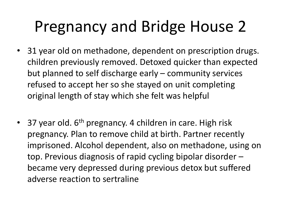# Pregnancy and Bridge House 2

- 31 year old on methadone, dependent on prescription drugs. children previously removed. Detoxed quicker than expected but planned to self discharge early – community services refused to accept her so she stayed on unit completing original length of stay which she felt was helpful
- 37 year old.  $6<sup>th</sup>$  pregnancy. 4 children in care. High risk pregnancy. Plan to remove child at birth. Partner recently imprisoned. Alcohol dependent, also on methadone, using on top. Previous diagnosis of rapid cycling bipolar disorder – became very depressed during previous detox but suffered adverse reaction to sertraline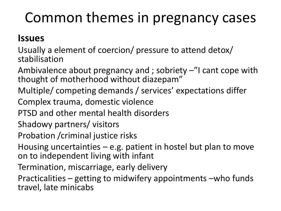## Common themes in pregnancy cases

#### **Issues**

Usually a element of coercion/ pressure to attend detox/ stabilisation

Ambivalence about pregnancy and ; sobriety  $-$ "I cant cope with thought of motherhood without diazepam"

Multiple/ competing demands / services' expectations differ

Complex trauma, domestic violence

PTSD and other mental health disorders

Shadowy partners/ visitors

Probation /criminal justice risks

Housing uncertainties  $-e.g.$  patient in hostel but plan to move on to independent living with infant

Termination, miscarriage, early delivery

Practicalities – getting to midwifery appointments –who funds travel, late minicabs